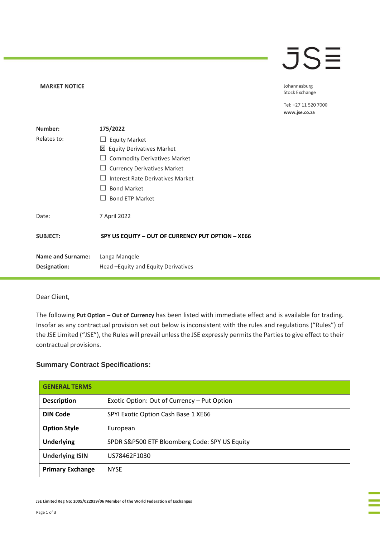## JSE

**MARKET NOTICE** 

Johannesburg Stock Exchange

Tel: +27 11 520 7000 www.jse.co.za

| Number:                                  | 175/2022                                              |
|------------------------------------------|-------------------------------------------------------|
| Relates to:                              | <b>Equity Market</b>                                  |
|                                          | 凶 Equity Derivatives Market                           |
|                                          | <b>Commodity Derivatives Market</b>                   |
|                                          | <b>Currency Derivatives Market</b>                    |
|                                          | Interest Rate Derivatives Market                      |
|                                          | <b>Bond Market</b>                                    |
|                                          | <b>Bond ETP Market</b>                                |
| Date:                                    | 7 April 2022                                          |
| <b>SUBJECT:</b>                          | SPY US EQUITY - OUT OF CURRENCY PUT OPTION - XE66     |
| <b>Name and Surname:</b><br>Designation: | Langa Mangele<br>Head – Equity and Equity Derivatives |

Dear Client,

The following **Put Option – Out of Currency** has been listed with immediate effect and is available for trading. Insofar as any contractual provision set out below is inconsistent with the rules and regulations ("Rules") of the JSE Limited ("JSE"), the Rules will prevail unless the JSE expressly permits the Parties to give effect to their contractual provisions.

## **Summary Contract Specifications:**

| <b>GENERAL TERMS</b>    |                                               |
|-------------------------|-----------------------------------------------|
| <b>Description</b>      | Exotic Option: Out of Currency - Put Option   |
| <b>DIN Code</b>         | SPYI Exotic Option Cash Base 1 XE66           |
| <b>Option Style</b>     | European                                      |
| <b>Underlying</b>       | SPDR S&P500 ETF Bloomberg Code: SPY US Equity |
| <b>Underlying ISIN</b>  | US78462F1030                                  |
| <b>Primary Exchange</b> | <b>NYSE</b>                                   |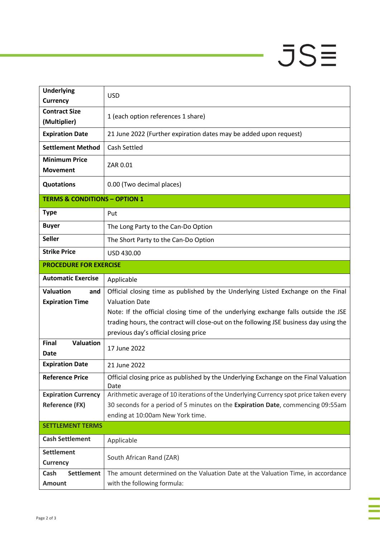## $JSE$

÷

à,

| <b>Underlying</b><br><b>Currency</b>              | <b>USD</b>                                                                                                                                                                                                                                                                                                                           |  |
|---------------------------------------------------|--------------------------------------------------------------------------------------------------------------------------------------------------------------------------------------------------------------------------------------------------------------------------------------------------------------------------------------|--|
| <b>Contract Size</b><br>(Multiplier)              | 1 (each option references 1 share)                                                                                                                                                                                                                                                                                                   |  |
| <b>Expiration Date</b>                            | 21 June 2022 (Further expiration dates may be added upon request)                                                                                                                                                                                                                                                                    |  |
| <b>Settlement Method</b>                          | Cash Settled                                                                                                                                                                                                                                                                                                                         |  |
| <b>Minimum Price</b><br><b>Movement</b>           | ZAR 0.01                                                                                                                                                                                                                                                                                                                             |  |
| <b>Quotations</b>                                 | 0.00 (Two decimal places)                                                                                                                                                                                                                                                                                                            |  |
| <b>TERMS &amp; CONDITIONS - OPTION 1</b>          |                                                                                                                                                                                                                                                                                                                                      |  |
| <b>Type</b>                                       | Put                                                                                                                                                                                                                                                                                                                                  |  |
| <b>Buyer</b>                                      | The Long Party to the Can-Do Option                                                                                                                                                                                                                                                                                                  |  |
| <b>Seller</b>                                     | The Short Party to the Can-Do Option                                                                                                                                                                                                                                                                                                 |  |
| <b>Strike Price</b>                               | USD 430.00                                                                                                                                                                                                                                                                                                                           |  |
| <b>PROCEDURE FOR EXERCISE</b>                     |                                                                                                                                                                                                                                                                                                                                      |  |
| <b>Automatic Exercise</b>                         | Applicable                                                                                                                                                                                                                                                                                                                           |  |
| <b>Valuation</b><br>and<br><b>Expiration Time</b> | Official closing time as published by the Underlying Listed Exchange on the Final<br><b>Valuation Date</b><br>Note: If the official closing time of the underlying exchange falls outside the JSE<br>trading hours, the contract will close-out on the following JSE business day using the<br>previous day's official closing price |  |
| <b>Valuation</b><br><b>Final</b><br>Date          | 17 June 2022                                                                                                                                                                                                                                                                                                                         |  |
| <b>Expiration Date</b>                            | 21 June 2022                                                                                                                                                                                                                                                                                                                         |  |
| <b>Reference Price</b>                            | Official closing price as published by the Underlying Exchange on the Final Valuation<br>Date                                                                                                                                                                                                                                        |  |
| <b>Expiration Currency</b>                        | Arithmetic average of 10 iterations of the Underlying Currency spot price taken every                                                                                                                                                                                                                                                |  |
| <b>Reference (FX)</b>                             | 30 seconds for a period of 5 minutes on the Expiration Date, commencing 09:55am                                                                                                                                                                                                                                                      |  |
| <b>SETTLEMENT TERMS</b>                           | ending at 10:00am New York time.                                                                                                                                                                                                                                                                                                     |  |
| <b>Cash Settlement</b>                            | Applicable                                                                                                                                                                                                                                                                                                                           |  |
| <b>Settlement</b><br><b>Currency</b>              | South African Rand (ZAR)                                                                                                                                                                                                                                                                                                             |  |
| <b>Settlement</b><br>Cash<br><b>Amount</b>        | The amount determined on the Valuation Date at the Valuation Time, in accordance<br>with the following formula:                                                                                                                                                                                                                      |  |